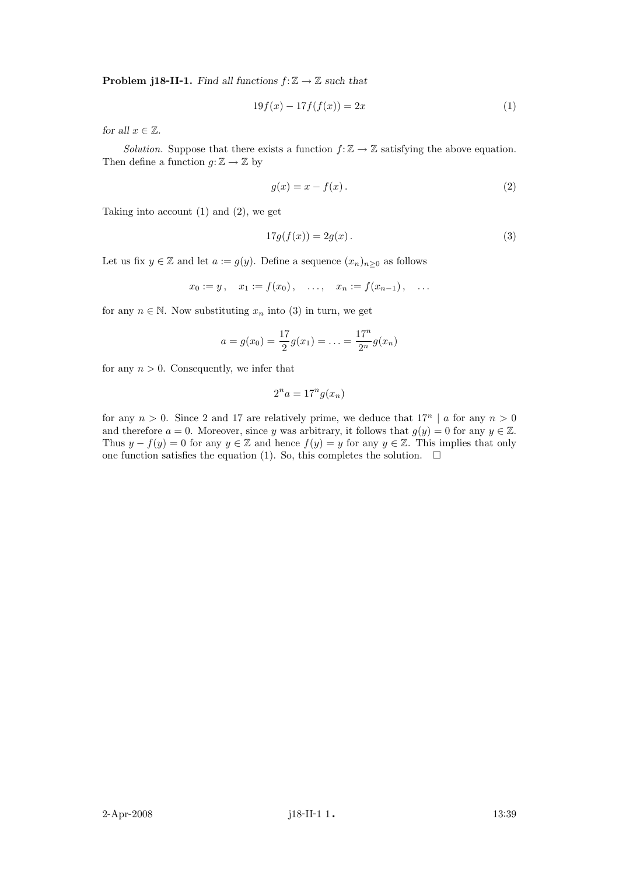**Problem j18-II-1.** Find all functions  $f: \mathbb{Z} \to \mathbb{Z}$  such that

$$
19f(x) - 17f(f(x)) = 2x\tag{1}
$$

for all  $x \in \mathbb{Z}$ .

Solution. Suppose that there exists a function  $f: \mathbb{Z} \to \mathbb{Z}$  satisfying the above equation. Then define a function  $g: \mathbb{Z} \to \mathbb{Z}$  by

$$
g(x) = x - f(x). \tag{2}
$$

Taking into account (1) and (2), we get

$$
17g(f(x)) = 2g(x). \tag{3}
$$

Let us fix  $y \in \mathbb{Z}$  and let  $a := g(y)$ . Define a sequence  $(x_n)_{n \geq 0}$  as follows

$$
x_0 := y
$$
,  $x_1 := f(x_0)$ , ...,  $x_n := f(x_{n-1})$ , ...

for any  $n \in \mathbb{N}$ . Now substituting  $x_n$  into (3) in turn, we get

$$
a = g(x_0) = \frac{17}{2}g(x_1) = \ldots = \frac{17^n}{2^n}g(x_n)
$$

for any  $n > 0$ . Consequently, we infer that

$$
2^n a = 17^n g(x_n)
$$

for any  $n > 0$ . Since 2 and 17 are relatively prime, we deduce that  $17^n \mid a$  for any  $n > 0$ and therefore  $a = 0$ . Moreover, since y was arbitrary, it follows that  $g(y) = 0$  for any  $y \in \mathbb{Z}$ . Thus  $y - f(y) = 0$  for any  $y \in \mathbb{Z}$  and hence  $f(y) = y$  for any  $y \in \mathbb{Z}$ . This implies that only one function satisfies the equation (1). So, this completes the solution.  $\Box$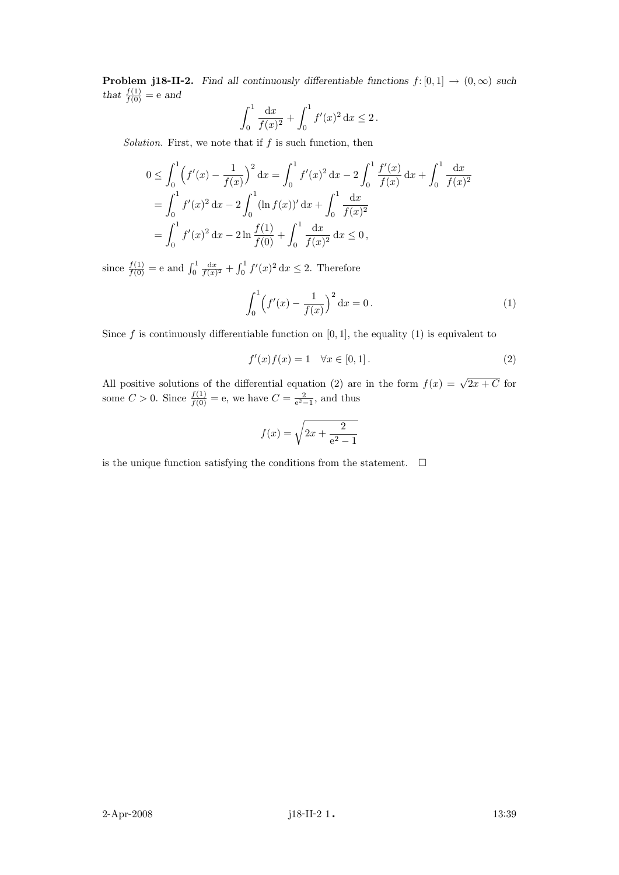**Problem j18-II-2.** Find all continuously differentiable functions  $f: [0,1] \rightarrow (0,\infty)$  such that  $\frac{f(1)}{f(0)} = e$  and

$$
\int_0^1 \frac{\mathrm{d}x}{f(x)^2} + \int_0^1 f'(x)^2 \, \mathrm{d}x \le 2 \, .
$$

Solution. First, we note that if  $f$  is such function, then

$$
0 \leq \int_0^1 \left( f'(x) - \frac{1}{f(x)} \right)^2 dx = \int_0^1 f'(x)^2 dx - 2 \int_0^1 \frac{f'(x)}{f(x)} dx + \int_0^1 \frac{dx}{f(x)^2}
$$
  
= 
$$
\int_0^1 f'(x)^2 dx - 2 \int_0^1 (\ln f(x))' dx + \int_0^1 \frac{dx}{f(x)^2}
$$
  
= 
$$
\int_0^1 f'(x)^2 dx - 2 \ln \frac{f(1)}{f(0)} + \int_0^1 \frac{dx}{f(x)^2} dx \le 0,
$$

since  $\frac{f(1)}{f(0)} = e$  and  $\int_0^1 \frac{dx}{f(x)^2} + \int_0^1 f'(x)^2 dx \le 2$ . Therefore

$$
\int_0^1 \left( f'(x) - \frac{1}{f(x)} \right)^2 dx = 0.
$$
 (1)

Since f is continuously differentiable function on  $[0, 1]$ , the equality (1) is equivalent to

$$
f'(x)f(x) = 1 \quad \forall x \in [0, 1]. \tag{2}
$$

All positive solutions of the differential equation (2) are in the form  $f(x) = \sqrt{2x + C}$  for some  $C > 0$ . Since  $\frac{f(1)}{f(0)} = e$ , we have  $C = \frac{2}{e^2 - 1}$ , and thus

$$
f(x) = \sqrt{2x + \frac{2}{e^2 - 1}}
$$

is the unique function satisfying the conditions from the statement.  $\Box$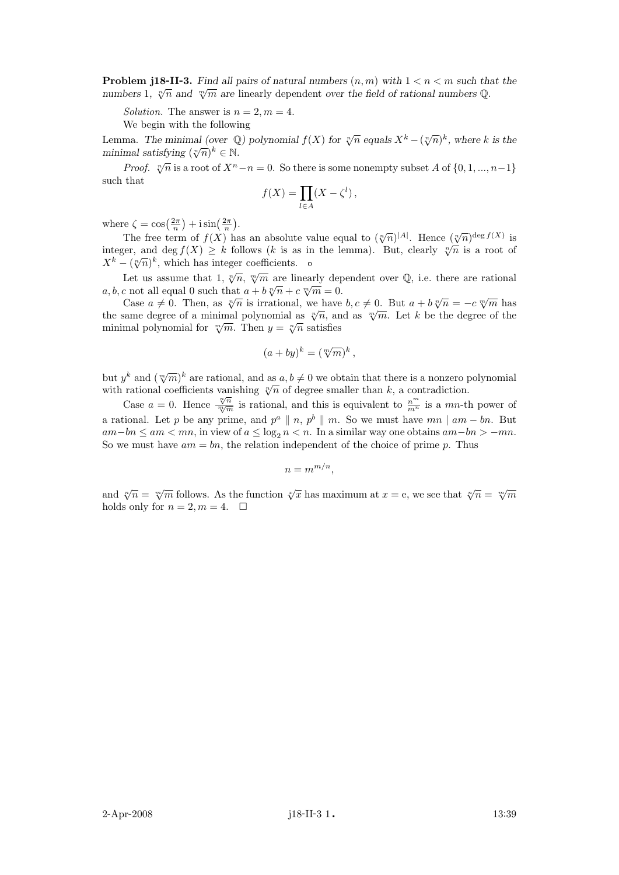**Problem j18-II-3.** Find all pairs of natural numbers  $(n, m)$  with  $1 < n < m$  such that the **F** FODIEM J10<sup>-11-3.</sup> Find an pairs of hatmar numbers  $(n, m)$  with  $1 \le n \le m$  such the numbers  $\infty$ .

Solution. The answer is  $n = 2, m = 4$ .

We begin with the following

Lemma. The minimal (over  $\mathbb{Q}$ ) polynomial  $f(X)$  for  $\sqrt[n]{n}$  equals  $X^k - (\sqrt[n]{n})^k$ , where k is the Lemma. The minimal (over  $\varphi$ <br>minimal satisfying  $(\sqrt[n]{n})^k \in \mathbb{N}$ .

*Proof.*  $\sqrt[n]{n}$  is a root of  $X^n - n = 0$ . So there is some nonempty subset A of  $\{0, 1, ..., n-1\}$ such that

$$
f(X) = \prod_{l \in A} (X - \zeta^l),
$$

where  $\zeta = \cos\left(\frac{2\pi}{n}\right) + i\sin\left(\frac{2\pi}{n}\right)$ .

The free term of  $f(X)$  has an absolute value equal to  $(\sqrt[n]{n})^{|A|}$ . Hence  $(\sqrt[n]{n})^{\text{deg }f(X)}$  is integer, and deg  $f(X) \geq k$  follows (k is as in the lemma). But, clearly  $\sqrt[n]{n}$  is a root of integer, and deg  $f(\lambda) \geq \kappa$  follows  $(\kappa$  is a  $X^k - (\sqrt[n]{n})^k$ , which has integer coefficients.

Let us assume that 1,  $\sqrt[n]{n}$ ,  $\sqrt[m]{m}$  are linearly dependent over  $\mathbb{Q}$ , i.e. there are rational Let us assume that  $1, \forall n, \forall m$  are meanly dep<br>a, b, c not all equal 0 such that  $a + b\sqrt[n]{n} + c\sqrt[m]{m} = 0$ .

Case  $a \neq 0$ . Then, as  $\sqrt[n]{n}$  is irrational, we have  $b, c \neq 0$ . But  $a + b \sqrt[n]{n} = -c \sqrt[m]{m}$  has Case  $a \neq 0$ . Then, as  $\sqrt{n}$  is irrational, we have  $b, c \neq 0$ . But  $a + b\sqrt{n} = -c\sqrt{m}$  has<br>the same degree of a minimal polynomial as  $\sqrt[n]{n}$ , and as  $\sqrt[m]{m}$ . Let k be the degree of the the same degree of a minimal polynomial as  $\sqrt{n}$ , and minimal polynomial for  $\sqrt[m]{m}$ . Then  $y = \sqrt[n]{n}$  satisfies

$$
(a+by)^k = (\sqrt[m]{m})^k,
$$

but  $y^k$  and  $(\sqrt[m]{m})^k$  are rational, and as  $a, b \neq 0$  we obtain that there is a nonzero polynomial but y and  $(\sqrt{n})$  are rational, and as  $a, b \neq 0$  we obtain that there is a honzero point rational coefficients vanishing  $\sqrt[n]{n}$  of degree smaller than k, a contradiction.

Case  $a = 0$ . Hence  $\frac{\sqrt[n]{n}}{m/m}$  $\frac{\sqrt[n]{n}}{\sqrt[m]{m}}$  is rational, and this is equivalent to  $\frac{n^m}{m^n}$  is a mn-th power of a rational. Let p be any prime, and  $p^a \parallel n$ ,  $p^b \parallel m$ . So we must have  $mn \mid am - bn$ . But am−bn  $\leq am < mn$ , in view of  $a \leq \log_2 n < n$ . In a similar way one obtains  $am-bn > -mn$ . So we must have  $am = bn$ , the relation independent of the choice of prime p. Thus

$$
n = m^{m/n},
$$

and  $\sqrt[n]{n} = \sqrt[m]{m}$  follows. As the function  $\sqrt[n]{x}$  has maximum at  $x = e$ , we see that  $\sqrt[n]{n} = \sqrt[m]{m}$ holds only for  $n = 2, m = 4$ .  $\Box$